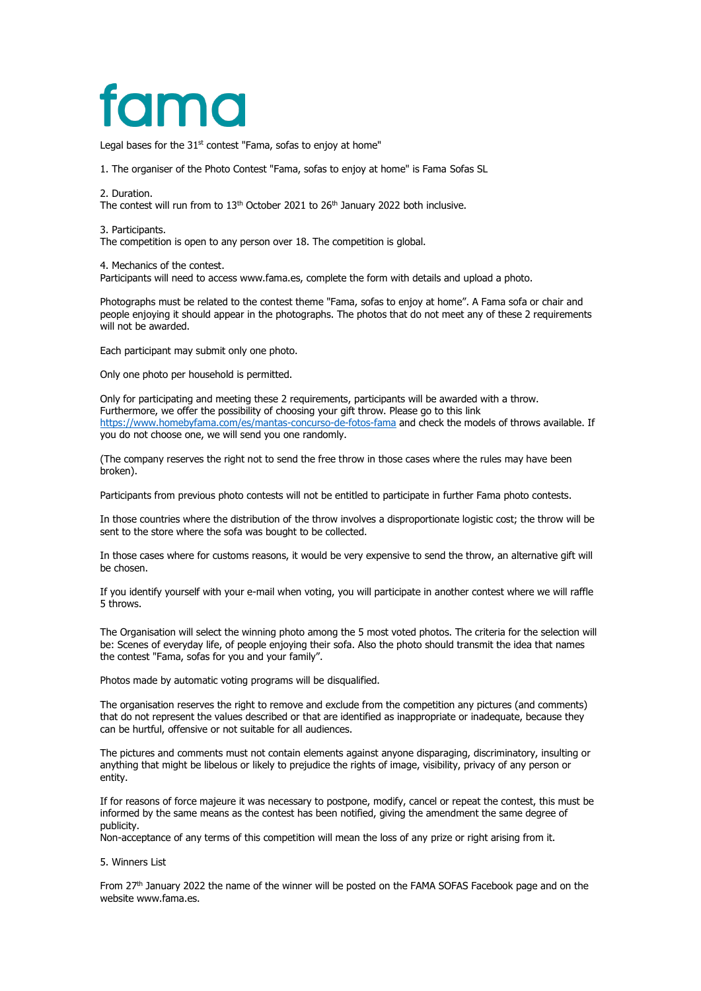# fama

Legal bases for the  $31<sup>st</sup>$  contest "Fama, sofas to enjoy at home"

1. The organiser of the Photo Contest "Fama, sofas to enjoy at home" is Fama Sofas SL

2. Duration.

The contest will run from to  $13<sup>th</sup>$  October 2021 to  $26<sup>th</sup>$  January 2022 both inclusive.

3. Participants.

The competition is open to any person over 18. The competition is global.

4. Mechanics of the contest.

Participants will need to access www.fama.es, complete the form with details and upload a photo.

Photographs must be related to the contest theme "Fama, sofas to enjoy at home". A Fama sofa or chair and people enjoying it should appear in the photographs. The photos that do not meet any of these 2 requirements will not be awarded.

Each participant may submit only one photo.

Only one photo per household is permitted.

Only for participating and meeting these 2 requirements, participants will be awarded with a throw. Furthermore, we offer the possibility of choosing your gift throw. Please go to this link <https://www.homebyfama.com/es/mantas-concurso-de-fotos-fama> and check the models of throws available. If you do not choose one, we will send you one randomly.

(The company reserves the right not to send the free throw in those cases where the rules may have been broken).

Participants from previous photo contests will not be entitled to participate in further Fama photo contests.

In those countries where the distribution of the throw involves a disproportionate logistic cost; the throw will be sent to the store where the sofa was bought to be collected.

In those cases where for customs reasons, it would be very expensive to send the throw, an alternative gift will be chosen.

If you identify yourself with your e-mail when voting, you will participate in another contest where we will raffle 5 throws.

The Organisation will select the winning photo among the 5 most voted photos. The criteria for the selection will be: Scenes of everyday life, of people enjoying their sofa. Also the photo should transmit the idea that names the contest "Fama, sofas for you and your family".

Photos made by automatic voting programs will be disqualified.

The organisation reserves the right to remove and exclude from the competition any pictures (and comments) that do not represent the values described or that are identified as inappropriate or inadequate, because they can be hurtful, offensive or not suitable for all audiences.

The pictures and comments must not contain elements against anyone disparaging, discriminatory, insulting or anything that might be libelous or likely to prejudice the rights of image, visibility, privacy of any person or entity.

If for reasons of force majeure it was necessary to postpone, modify, cancel or repeat the contest, this must be informed by the same means as the contest has been notified, giving the amendment the same degree of publicity.

Non-acceptance of any terms of this competition will mean the loss of any prize or right arising from it.

### 5. Winners List

From 27<sup>th</sup> January 2022 the name of the winner will be posted on the FAMA SOFAS Facebook page and on the website www.fama.es.